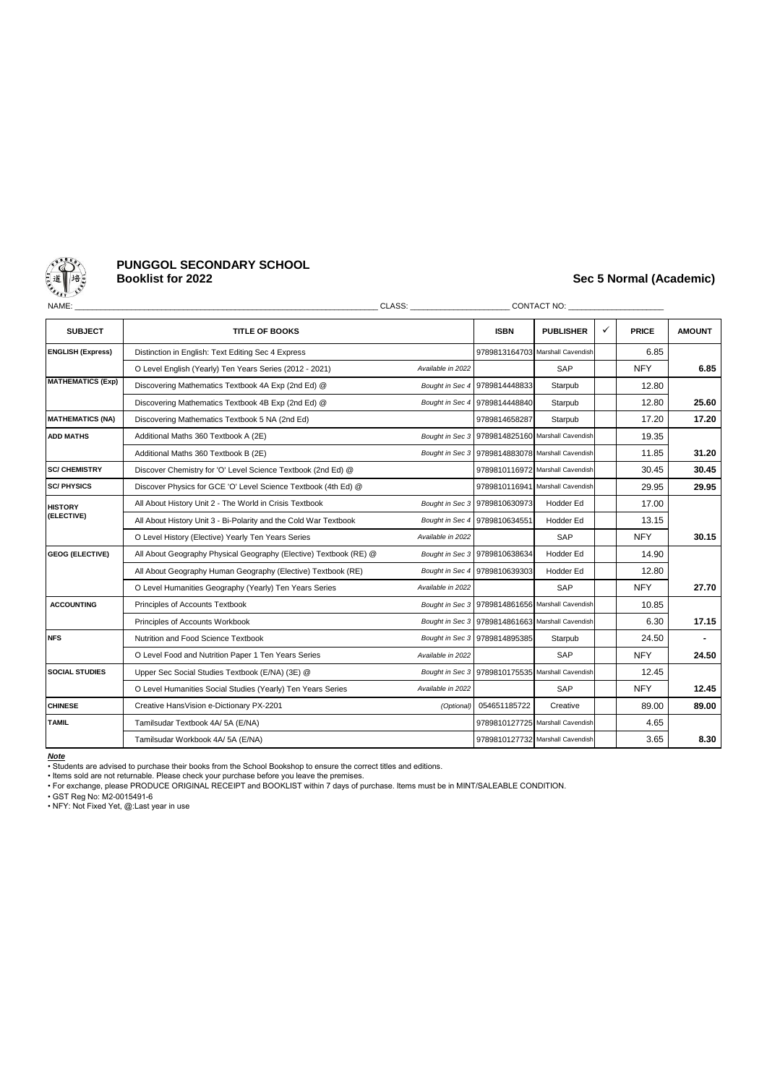

# **PUNGGOL SECONDARY SCHOOL**

## **Booklist for 2022 Sec 5 Normal (Academic)**

| NAME:                        |                                                                   | CLASS: Analysis of the contract of the contract of the contract of the contract of the contract of the contract of the contract of the contract of the contract of the contract of the contract of the contract of the contrac |                                                  | CONTACT NO: THE STATE OF THE STATE OF THE STATE OF THE STATE OF THE STATE OF THE STATE OF THE STATE OF THE STATE OF THE STATE OF THE STATE OF THE STATE OF THE STATE OF THE STATE OF THE STATE OF THE STATE OF THE STATE OF TH |       |              |                |
|------------------------------|-------------------------------------------------------------------|--------------------------------------------------------------------------------------------------------------------------------------------------------------------------------------------------------------------------------|--------------------------------------------------|--------------------------------------------------------------------------------------------------------------------------------------------------------------------------------------------------------------------------------|-------|--------------|----------------|
| <b>SUBJECT</b>               | <b>TITLE OF BOOKS</b>                                             |                                                                                                                                                                                                                                | <b>ISBN</b>                                      | <b>PUBLISHER</b>                                                                                                                                                                                                               | ✓     | <b>PRICE</b> | <b>AMOUNT</b>  |
| <b>ENGLISH (Express)</b>     | Distinction in English: Text Editing Sec 4 Express                |                                                                                                                                                                                                                                |                                                  | 9789813164703 Marshall Cavendish                                                                                                                                                                                               |       | 6.85         |                |
|                              | O Level English (Yearly) Ten Years Series (2012 - 2021)           | Available in 2022                                                                                                                                                                                                              |                                                  | SAP                                                                                                                                                                                                                            |       | <b>NFY</b>   | 6.85           |
| <b>MATHEMATICS (Exp)</b>     | Discovering Mathematics Textbook 4A Exp (2nd Ed) @                |                                                                                                                                                                                                                                | Bought in Sec 4 9789814448833                    | Starpub                                                                                                                                                                                                                        |       | 12.80        |                |
|                              | Discovering Mathematics Textbook 4B Exp (2nd Ed) @                | Bought in Sec 4 9789814448840                                                                                                                                                                                                  | Starpub                                          |                                                                                                                                                                                                                                | 12.80 | 25.60        |                |
| <b>MATHEMATICS (NA)</b>      | Discovering Mathematics Textbook 5 NA (2nd Ed)                    |                                                                                                                                                                                                                                | 9789814658287                                    | Starpub                                                                                                                                                                                                                        |       | 17.20        | 17.20          |
| <b>ADD MATHS</b>             | Additional Maths 360 Textbook A (2E)                              |                                                                                                                                                                                                                                | Bought in Sec 3 9789814825160 Marshall Cavendish |                                                                                                                                                                                                                                |       | 19.35        |                |
|                              | Additional Maths 360 Textbook B (2E)                              |                                                                                                                                                                                                                                |                                                  | Bought in Sec 3 9789814883078 Marshall Cavendish                                                                                                                                                                               |       | 11.85        | 31.20          |
| <b>SC/ CHEMISTRY</b>         | Discover Chemistry for 'O' Level Science Textbook (2nd Ed) @      |                                                                                                                                                                                                                                |                                                  | 9789810116972 Marshall Cavendish                                                                                                                                                                                               |       | 30.45        | 30.45          |
| <b>SC/PHYSICS</b>            | Discover Physics for GCE 'O' Level Science Textbook (4th Ed) @    |                                                                                                                                                                                                                                | 9789810116941 Marshall Cavendish                 |                                                                                                                                                                                                                                | 29.95 | 29.95        |                |
| <b>HISTORY</b><br>(ELECTIVE) | All About History Unit 2 - The World in Crisis Textbook           |                                                                                                                                                                                                                                | Bought in Sec 3 9789810630973                    | Hodder Ed                                                                                                                                                                                                                      |       | 17.00        |                |
|                              | All About History Unit 3 - Bi-Polarity and the Cold War Textbook  |                                                                                                                                                                                                                                | Bought in Sec 4 9789810634551                    | Hodder Ed                                                                                                                                                                                                                      |       | 13.15        |                |
|                              | O Level History (Elective) Yearly Ten Years Series                | Available in 2022                                                                                                                                                                                                              |                                                  | SAP                                                                                                                                                                                                                            |       | <b>NFY</b>   | 30.15          |
| <b>GEOG (ELECTIVE)</b>       | All About Geography Physical Geography (Elective) Textbook (RE) @ |                                                                                                                                                                                                                                | Bought in Sec 3 9789810638634                    | Hodder Ed                                                                                                                                                                                                                      |       | 14.90        |                |
|                              | All About Geography Human Geography (Elective) Textbook (RE)      |                                                                                                                                                                                                                                | Bought in Sec 4 9789810639303                    | Hodder Ed                                                                                                                                                                                                                      |       | 12.80        |                |
|                              | O Level Humanities Geography (Yearly) Ten Years Series            | Available in 2022                                                                                                                                                                                                              |                                                  | SAP                                                                                                                                                                                                                            |       | <b>NFY</b>   | 27.70          |
| <b>ACCOUNTING</b>            | Principles of Accounts Textbook                                   |                                                                                                                                                                                                                                |                                                  | Bought in Sec 3 9789814861656 Marshall Cavendish                                                                                                                                                                               |       | 10.85        |                |
|                              | Principles of Accounts Workbook                                   |                                                                                                                                                                                                                                | Bought in Sec 3 9789814861663 Marshall Cavendish |                                                                                                                                                                                                                                |       | 6.30         | 17.15          |
| <b>NFS</b>                   | Nutrition and Food Science Textbook                               |                                                                                                                                                                                                                                | Bought in Sec 3 9789814895385                    | Starpub                                                                                                                                                                                                                        |       | 24.50        | $\blacksquare$ |
|                              | O Level Food and Nutrition Paper 1 Ten Years Series               | Available in 2022                                                                                                                                                                                                              |                                                  | SAP                                                                                                                                                                                                                            |       | <b>NFY</b>   | 24.50          |
| <b>SOCIAL STUDIES</b>        | Upper Sec Social Studies Textbook (E/NA) (3E) @                   |                                                                                                                                                                                                                                |                                                  | Bought in Sec 3 9789810175535 Marshall Cavendish                                                                                                                                                                               |       | 12.45        |                |
|                              | O Level Humanities Social Studies (Yearly) Ten Years Series       | Available in 2022                                                                                                                                                                                                              |                                                  | SAP                                                                                                                                                                                                                            |       | <b>NFY</b>   | 12.45          |
| <b>CHINESE</b>               | Creative HansVision e-Dictionary PX-2201                          | (Optional)                                                                                                                                                                                                                     | 054651185722                                     | Creative                                                                                                                                                                                                                       |       | 89.00        | 89.00          |
| <b>TAMIL</b>                 | Tamilsudar Textbook 4A/ 5A (E/NA)                                 |                                                                                                                                                                                                                                |                                                  | 9789810127725 Marshall Cavendish                                                                                                                                                                                               |       | 4.65         |                |
|                              | Tamilsudar Workbook 4A/5A (E/NA)                                  |                                                                                                                                                                                                                                |                                                  | 9789810127732 Marshall Cavendish                                                                                                                                                                                               |       | 3.65         | 8.30           |

*Note*

• Students are advised to purchase their books from the School Bookshop to ensure the correct titles and editions.

• Items sold are not returnable. Please check your purchase before you leave the premises. • For exchange, please PRODUCE ORIGINAL RECEIPT and BOOKLIST within 7 days of purchase. Items must be in MINT/SALEABLE CONDITION.

• GST Reg No: M2-0015491-6 • NFY: Not Fixed Yet, @:Last year in use